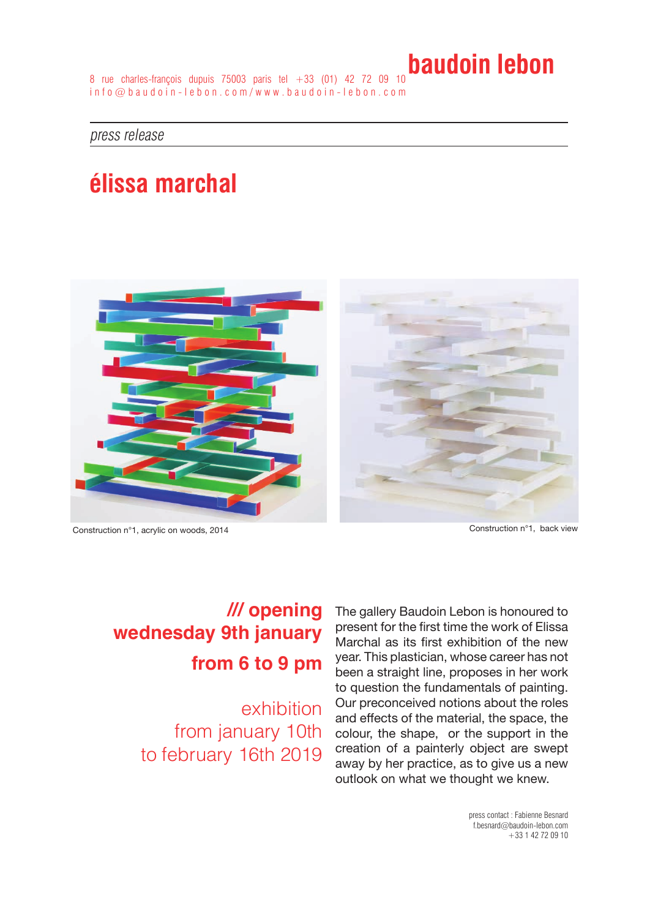8 rue charles-françois dupuis 75003 paris tel +33 (01) 42 72 09 10 info@baudoin-lebon.com/www.baudoin-lebon.com

press release

# **élissa marchal**



Construction n°1, acrylic on woods, 2014 Construction n°1, back view

### **/// opening wednesday 9th january from 6 to 9 pm**

exhibition from january 10th to february 16th 2019

The gallery Baudoin Lebon is honoured to present for the first time the work of Elissa Marchal as its first exhibition of the new year. This plastician, whose career has not been a straight line, proposes in her work to question the fundamentals of painting. Our preconceived notions about the roles and effects of the material, the space, the colour, the shape, or the support in the creation of a painterly object are swept away by her practice, as to give us a new outlook on what we thought we knew.

> press contact : Fabienne Besnard f.besnard@baudoin-lebon.com +33 1 42 72 09 10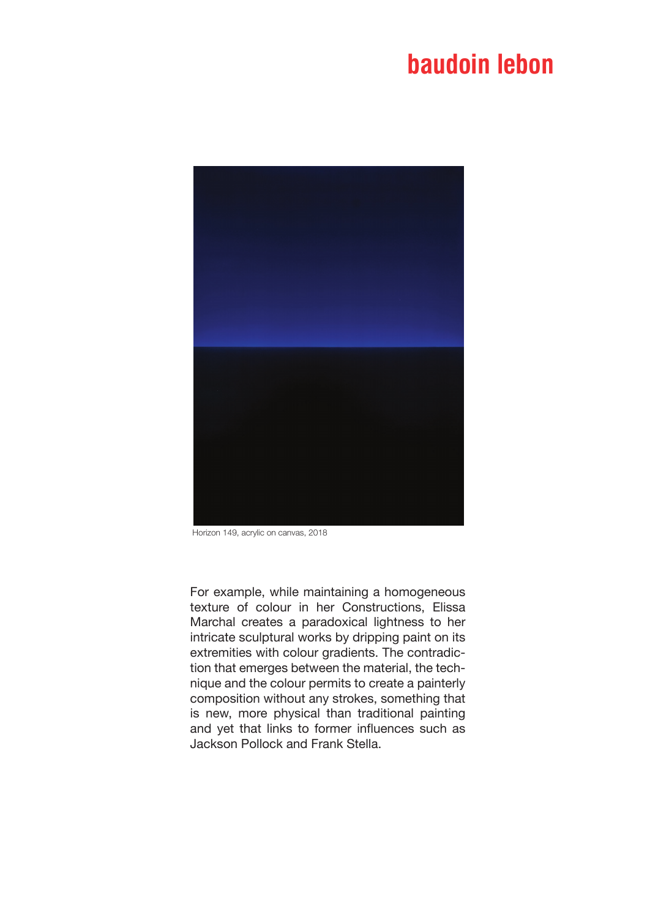

Horizon 149, acrylic on canvas, 2018

For example, while maintaining a homogeneous texture of colour in her Constructions, Elissa Marchal creates a paradoxical lightness to her intricate sculptural works by dripping paint on its extremities with colour gradients. The contradiction that emerges between the material, the technique and the colour permits to create a painterly composition without any strokes, something that is new, more physical than traditional painting and yet that links to former influences such as Jackson Pollock and Frank Stella.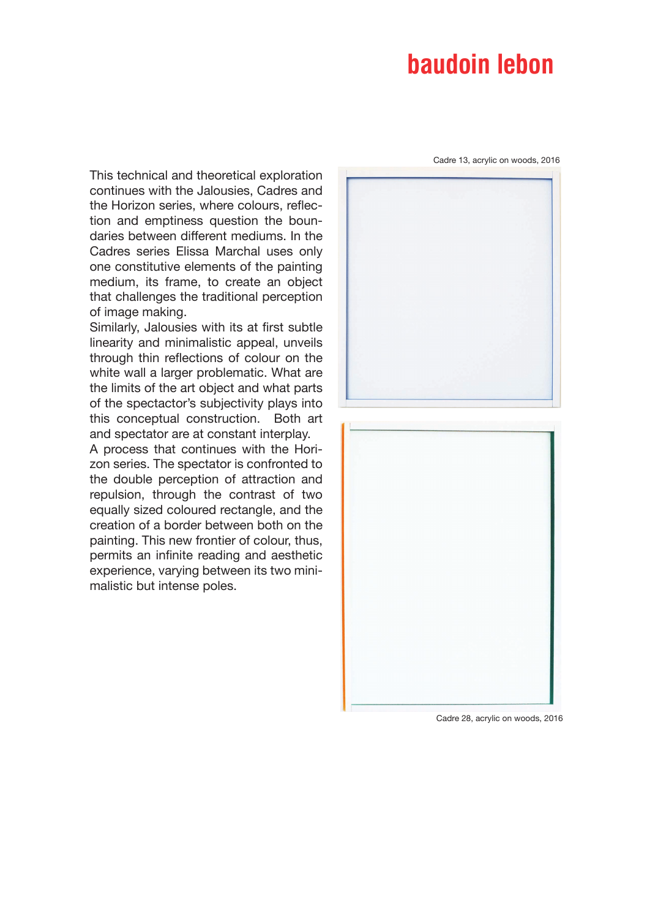Cadre 13, acrylic on woods, 2016

This technical and theoretical exploration continues with the Jalousies, Cadres and the Horizon series, where colours, reflection and emptiness question the boundaries between different mediums. In the Cadres series Elissa Marchal uses only one constitutive elements of the painting medium, its frame, to create an object that challenges the traditional perception of image making.

Similarly, Jalousies with its at first subtle linearity and minimalistic appeal, unveils through thin reflections of colour on the white wall a larger problematic. What are the limits of the art object and what parts of the spectactor's subjectivity plays into this conceptual construction. Both art and spectator are at constant interplay.

A process that continues with the Horizon series. The spectator is confronted to the double perception of attraction and repulsion, through the contrast of two equally sized coloured rectangle, and the creation of a border between both on the painting. This new frontier of colour, thus, permits an infinite reading and aesthetic experience, varying between its two minimalistic but intense poles.





Cadre 28, acrylic on woods, 2016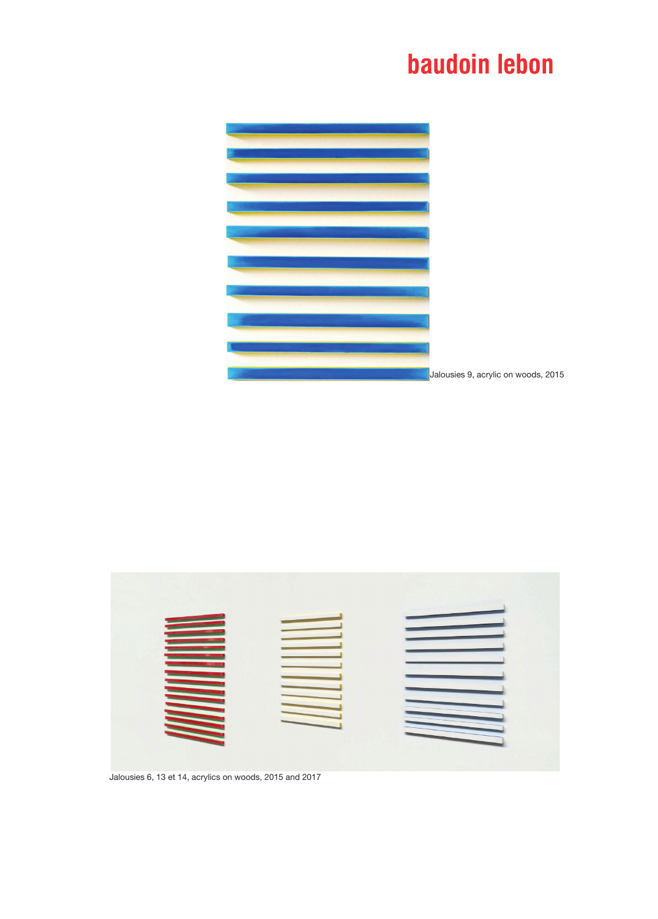

Jalousies 9, acrylic on woods, 2015



Jalousies 6, 13 et 14, acrylics on woods, 2015 and 2017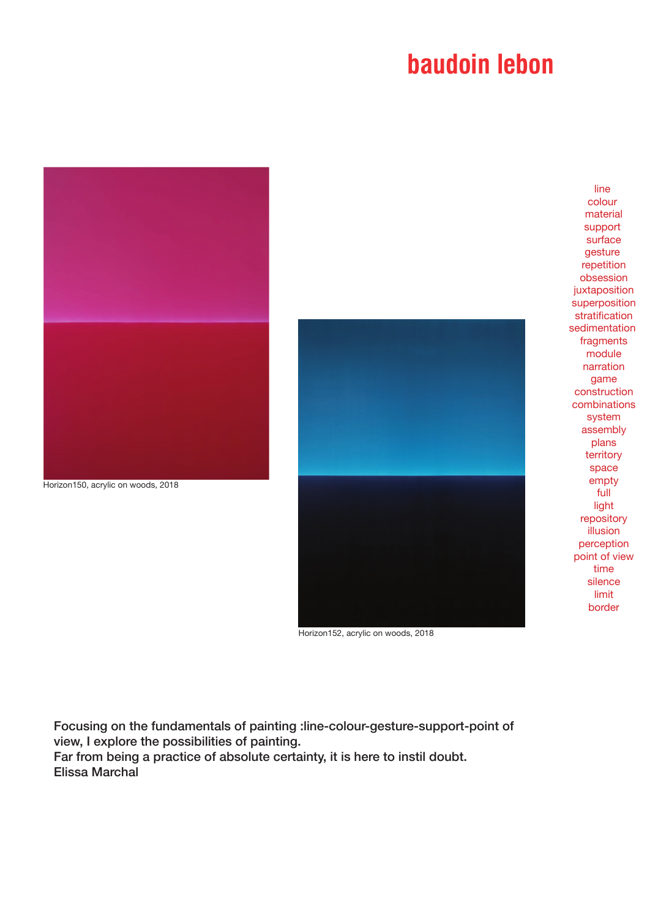

Horizon152, acrylic on woods, 2018

Focusing on the fundamentals of painting :line-colour-gesture-support-point of view, I explore the possibilities of painting.

Far from being a practice of absolute certainty, it is here to instil doubt. Elissa Marchal